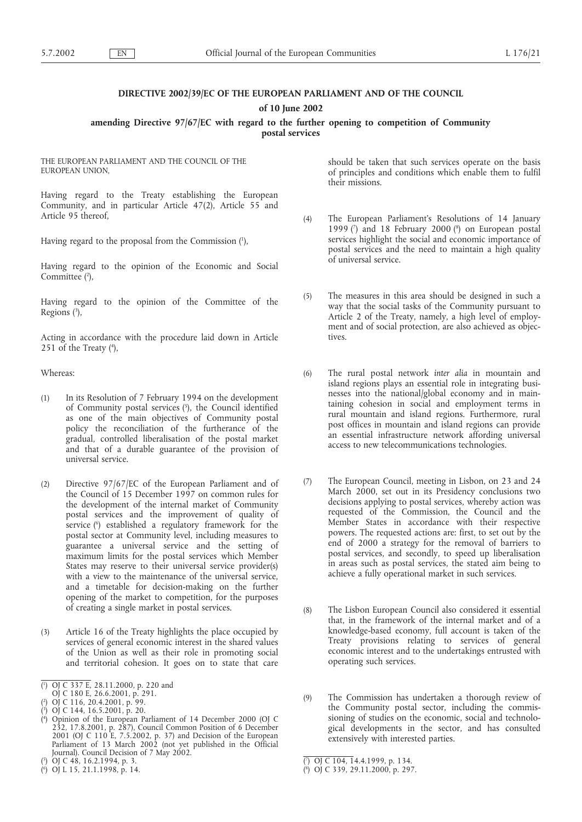## **DIRECTIVE 2002/39/EC OF THE EUROPEAN PARLIAMENT AND OF THE COUNCIL**

**of 10 June 2002**

### **amending Directive 97/67/EC with regard to the further opening to competition of Community postal services**

THE EUROPEAN PARLIAMENT AND THE COUNCIL OF THE EUROPEAN UNION,

Having regard to the Treaty establishing the European Community, and in particular Article 47(2), Article 55 and Article 95 thereof,

Having regard to the proposal from the Commission (1 ),

Having regard to the opinion of the Economic and Social Committee (2),

Having regard to the opinion of the Committee of the Regions (3),

Acting in accordance with the procedure laid down in Article 251 of the Treaty  $(4)$ ,

Whereas:

- (1) In its Resolution of 7 February 1994 on the development of Community postal services (5), the Council identified as one of the main objectives of Community postal policy the reconciliation of the furtherance of the gradual, controlled liberalisation of the postal market and that of a durable guarantee of the provision of universal service.
- (2) Directive 97/67/EC of the European Parliament and of the Council of 15 December 1997 on common rules for the development of the internal market of Community postal services and the improvement of quality of service (6 ) established a regulatory framework for the postal sector at Community level, including measures to guarantee a universal service and the setting of maximum limits for the postal services which Member States may reserve to their universal service provider(s) with a view to the maintenance of the universal service, and a timetable for decision-making on the further opening of the market to competition, for the purposes of creating a single market in postal services.
- (3) Article 16 of the Treaty highlights the place occupied by services of general economic interest in the shared values of the Union as well as their role in promoting social and territorial cohesion. It goes on to state that care

should be taken that such services operate on the basis of principles and conditions which enable them to fulfil their missions.

- (4) The European Parliament's Resolutions of 14 January 1999 $(7)$  and 18 February 2000 $(8)$  on European postal services highlight the social and economic importance of postal services and the need to maintain a high quality of universal service.
- (5) The measures in this area should be designed in such a way that the social tasks of the Community pursuant to Article 2 of the Treaty, namely, a high level of employment and of social protection, are also achieved as objectives.
- (6) The rural postal network *inter alia* in mountain and island regions plays an essential role in integrating businesses into the national/global economy and in maintaining cohesion in social and employment terms in rural mountain and island regions. Furthermore, rural post offices in mountain and island regions can provide an essential infrastructure network affording universal access to new telecommunications technologies.
- (7) The European Council, meeting in Lisbon, on 23 and 24 March 2000, set out in its Presidency conclusions two decisions applying to postal services, whereby action was requested of the Commission, the Council and the Member States in accordance with their respective powers. The requested actions are: first, to set out by the end of 2000 a strategy for the removal of barriers to postal services, and secondly, to speed up liberalisation in areas such as postal services, the stated aim being to achieve a fully operational market in such services.
- (8) The Lisbon European Council also considered it essential that, in the framework of the internal market and of a knowledge-based economy, full account is taken of the Treaty provisions relating to services of general economic interest and to the undertakings entrusted with operating such services.
- (9) The Commission has undertaken a thorough review of the Community postal sector, including the commissioning of studies on the economic, social and technological developments in the sector, and has consulted extensively with interested parties.

<sup>(</sup> 1 ) OJ C 337 E, 28.11.2000, p. 220 and

OJ C 180 E, 26.6.2001, p. 291.

<sup>(</sup> 2 ) OJ C 116, 20.4.2001, p. 99.

<sup>(</sup> 3 ) OJ C 144, 16.5.2001, p. 20.

<sup>(</sup> 4 ) Opinion of the European Parliament of 14 December 2000 (OJ C 232, 17.8.2001, p. 287), Council Common Position of 6 December 2001 (OJ C 110 E, 7.5.2002, p. 37) and Decision of the European Parliament of 13 March 2002 (not yet published in the Official Journal). Council Decision of 7 May 2002.

<sup>(</sup> 5 ) OJ C 48, 16.2.1994, p. 3.

<sup>(</sup> 6 ) OJ L 15, 21.1.1998, p. 14.

<sup>(</sup> 7 ) OJ C 104, 14.4.1999, p. 134.

<sup>(</sup> 8 ) OJ C 339, 29.11.2000, p. 297.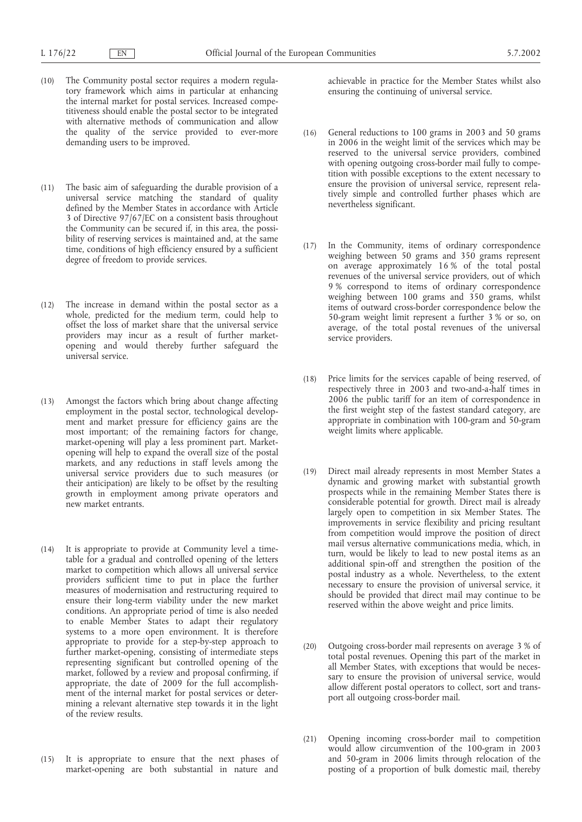- (10) The Community postal sector requires a modern regulatory framework which aims in particular at enhancing the internal market for postal services. Increased competitiveness should enable the postal sector to be integrated with alternative methods of communication and allow the quality of the service provided to ever-more demanding users to be improved.
- (11) The basic aim of safeguarding the durable provision of a universal service matching the standard of quality defined by the Member States in accordance with Article 3 of Directive 97/67/EC on a consistent basis throughout the Community can be secured if, in this area, the possibility of reserving services is maintained and, at the same time, conditions of high efficiency ensured by a sufficient degree of freedom to provide services.
- (12) The increase in demand within the postal sector as a whole, predicted for the medium term, could help to offset the loss of market share that the universal service providers may incur as a result of further marketopening and would thereby further safeguard the universal service.
- (13) Amongst the factors which bring about change affecting employment in the postal sector, technological development and market pressure for efficiency gains are the most important; of the remaining factors for change, market-opening will play a less prominent part. Marketopening will help to expand the overall size of the postal markets, and any reductions in staff levels among the universal service providers due to such measures (or their anticipation) are likely to be offset by the resulting growth in employment among private operators and new market entrants.
- (14) It is appropriate to provide at Community level a timetable for a gradual and controlled opening of the letters market to competition which allows all universal service providers sufficient time to put in place the further measures of modernisation and restructuring required to ensure their long-term viability under the new market conditions. An appropriate period of time is also needed to enable Member States to adapt their regulatory systems to a more open environment. It is therefore appropriate to provide for a step-by-step approach to further market-opening, consisting of intermediate steps representing significant but controlled opening of the market, followed by a review and proposal confirming, if appropriate, the date of 2009 for the full accomplishment of the internal market for postal services or determining a relevant alternative step towards it in the light of the review results.
- (15) It is appropriate to ensure that the next phases of market-opening are both substantial in nature and

achievable in practice for the Member States whilst also ensuring the continuing of universal service.

- (16) General reductions to 100 grams in 2003 and 50 grams in 2006 in the weight limit of the services which may be reserved to the universal service providers, combined with opening outgoing cross-border mail fully to competition with possible exceptions to the extent necessary to ensure the provision of universal service, represent relatively simple and controlled further phases which are nevertheless significant.
- (17) In the Community, items of ordinary correspondence weighing between 50 grams and 350 grams represent on average approximately 16 % of the total postal revenues of the universal service providers, out of which 9 % correspond to items of ordinary correspondence weighing between 100 grams and 350 grams, whilst items of outward cross-border correspondence below the 50-gram weight limit represent a further 3 % or so, on average, of the total postal revenues of the universal service providers.
- (18) Price limits for the services capable of being reserved, of respectively three in 2003 and two-and-a-half times in 2006 the public tariff for an item of correspondence in the first weight step of the fastest standard category, are appropriate in combination with 100-gram and 50-gram weight limits where applicable.
- (19) Direct mail already represents in most Member States a dynamic and growing market with substantial growth prospects while in the remaining Member States there is considerable potential for growth. Direct mail is already largely open to competition in six Member States. The improvements in service flexibility and pricing resultant from competition would improve the position of direct mail versus alternative communications media, which, in turn, would be likely to lead to new postal items as an additional spin-off and strengthen the position of the postal industry as a whole. Nevertheless, to the extent necessary to ensure the provision of universal service, it should be provided that direct mail may continue to be reserved within the above weight and price limits.
- (20) Outgoing cross-border mail represents on average 3 % of total postal revenues. Opening this part of the market in all Member States, with exceptions that would be necessary to ensure the provision of universal service, would allow different postal operators to collect, sort and transport all outgoing cross-border mail.
- (21) Opening incoming cross-border mail to competition would allow circumvention of the 100-gram in 2003 and 50-gram in 2006 limits through relocation of the posting of a proportion of bulk domestic mail, thereby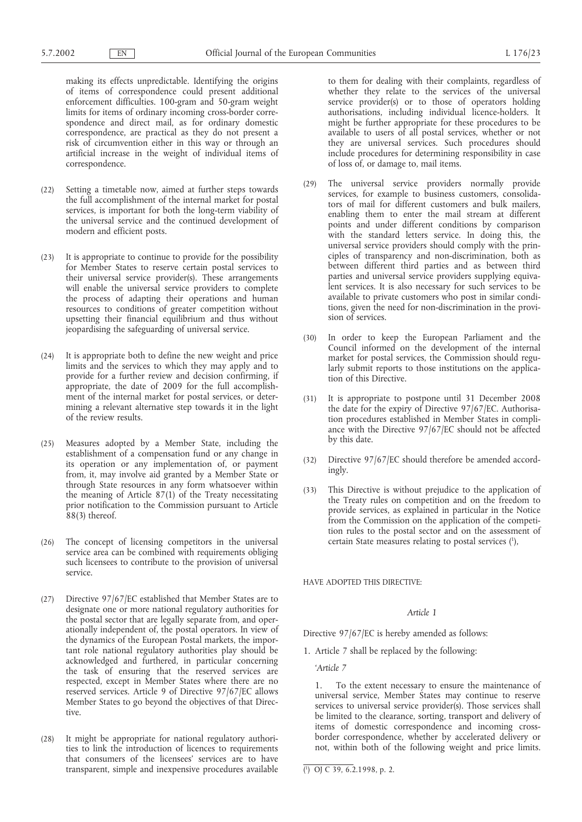making its effects unpredictable. Identifying the origins of items of correspondence could present additional enforcement difficulties. 100-gram and 50-gram weight limits for items of ordinary incoming cross-border correspondence and direct mail, as for ordinary domestic correspondence, are practical as they do not present a risk of circumvention either in this way or through an artificial increase in the weight of individual items of correspondence.

- (22) Setting a timetable now, aimed at further steps towards the full accomplishment of the internal market for postal services, is important for both the long-term viability of the universal service and the continued development of modern and efficient posts.
- (23) It is appropriate to continue to provide for the possibility for Member States to reserve certain postal services to their universal service provider(s). These arrangements will enable the universal service providers to complete the process of adapting their operations and human resources to conditions of greater competition without upsetting their financial equilibrium and thus without jeopardising the safeguarding of universal service.
- (24) It is appropriate both to define the new weight and price limits and the services to which they may apply and to provide for a further review and decision confirming, if appropriate, the date of 2009 for the full accomplishment of the internal market for postal services, or determining a relevant alternative step towards it in the light of the review results.
- (25) Measures adopted by a Member State, including the establishment of a compensation fund or any change in its operation or any implementation of, or payment from, it, may involve aid granted by a Member State or through State resources in any form whatsoever within the meaning of Article 87(1) of the Treaty necessitating prior notification to the Commission pursuant to Article 88(3) thereof.
- (26) The concept of licensing competitors in the universal service area can be combined with requirements obliging such licensees to contribute to the provision of universal service.
- (27) Directive 97/67/EC established that Member States are to designate one or more national regulatory authorities for the postal sector that are legally separate from, and operationally independent of, the postal operators. In view of the dynamics of the European Postal markets, the important role national regulatory authorities play should be acknowledged and furthered, in particular concerning the task of ensuring that the reserved services are respected, except in Member States where there are no reserved services. Article 9 of Directive 97/67/EC allows Member States to go beyond the objectives of that Directive.
- (28) It might be appropriate for national regulatory authorities to link the introduction of licences to requirements that consumers of the licensees' services are to have transparent, simple and inexpensive procedures available

to them for dealing with their complaints, regardless of whether they relate to the services of the universal service provider(s) or to those of operators holding authorisations, including individual licence-holders. It might be further appropriate for these procedures to be available to users of all postal services, whether or not they are universal services. Such procedures should include procedures for determining responsibility in case of loss of, or damage to, mail items.

- (29) The universal service providers normally provide services, for example to business customers, consolidators of mail for different customers and bulk mailers, enabling them to enter the mail stream at different points and under different conditions by comparison with the standard letters service. In doing this, the universal service providers should comply with the principles of transparency and non-discrimination, both as between different third parties and as between third parties and universal service providers supplying equivalent services. It is also necessary for such services to be available to private customers who post in similar conditions, given the need for non-discrimination in the provision of services.
- (30) In order to keep the European Parliament and the Council informed on the development of the internal market for postal services, the Commission should regularly submit reports to those institutions on the application of this Directive.
- (31) It is appropriate to postpone until 31 December 2008 the date for the expiry of Directive 97/67/EC. Authorisation procedures established in Member States in compliance with the Directive 97/67/EC should not be affected by this date.
- (32) Directive 97/67/EC should therefore be amended accordingly.
- (33) This Directive is without prejudice to the application of the Treaty rules on competition and on the freedom to provide services, as explained in particular in the Notice from the Commission on the application of the competition rules to the postal sector and on the assessment of certain State measures relating to postal services (1 ),

HAVE ADOPTED THIS DIRECTIVE:

#### *Article 1*

Directive 97/67/EC is hereby amended as follows:

1. Article 7 shall be replaced by the following:

*'Article 7*

1. To the extent necessary to ensure the maintenance of universal service, Member States may continue to reserve services to universal service provider(s). Those services shall be limited to the clearance, sorting, transport and delivery of items of domestic correspondence and incoming crossborder correspondence, whether by accelerated delivery or not, within both of the following weight and price limits.

<sup>(</sup> 1 ) OJ C 39, 6.2.1998, p. 2.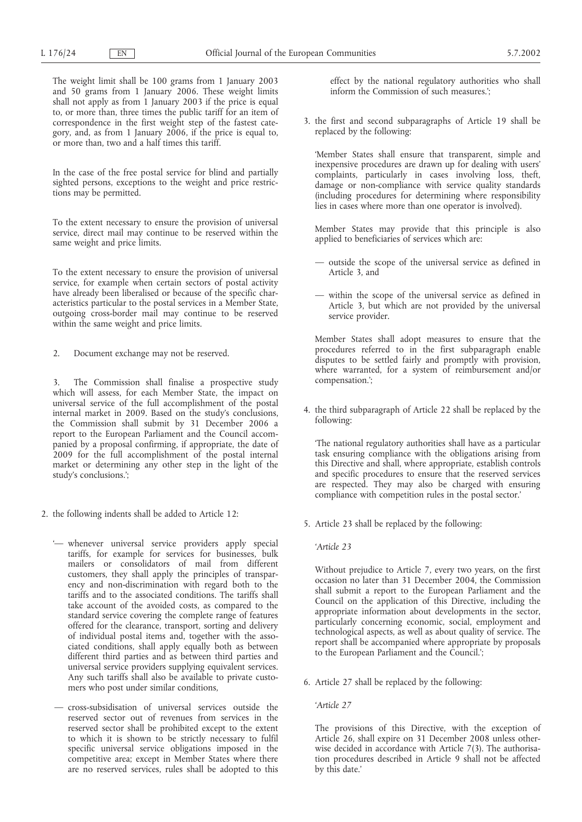The weight limit shall be 100 grams from 1 January 2003 and 50 grams from 1 January 2006. These weight limits shall not apply as from 1 January 2003 if the price is equal to, or more than, three times the public tariff for an item of correspondence in the first weight step of the fastest category, and, as from 1 January 2006, if the price is equal to, or more than, two and a half times this tariff.

In the case of the free postal service for blind and partially sighted persons, exceptions to the weight and price restrictions may be permitted.

To the extent necessary to ensure the provision of universal service, direct mail may continue to be reserved within the same weight and price limits.

To the extent necessary to ensure the provision of universal service, for example when certain sectors of postal activity have already been liberalised or because of the specific characteristics particular to the postal services in a Member State, outgoing cross-border mail may continue to be reserved within the same weight and price limits.

2. Document exchange may not be reserved.

The Commission shall finalise a prospective study which will assess, for each Member State, the impact on universal service of the full accomplishment of the postal internal market in 2009. Based on the study's conclusions, the Commission shall submit by 31 December 2006 a report to the European Parliament and the Council accompanied by a proposal confirming, if appropriate, the date of 2009 for the full accomplishment of the postal internal market or determining any other step in the light of the study's conclusions.';

- 2. the following indents shall be added to Article 12:
	- '— whenever universal service providers apply special tariffs, for example for services for businesses, bulk mailers or consolidators of mail from different customers, they shall apply the principles of transparency and non-discrimination with regard both to the tariffs and to the associated conditions. The tariffs shall take account of the avoided costs, as compared to the standard service covering the complete range of features offered for the clearance, transport, sorting and delivery of individual postal items and, together with the associated conditions, shall apply equally both as between different third parties and as between third parties and universal service providers supplying equivalent services. Any such tariffs shall also be available to private customers who post under similar conditions,
	- cross-subsidisation of universal services outside the reserved sector out of revenues from services in the reserved sector shall be prohibited except to the extent to which it is shown to be strictly necessary to fulfil specific universal service obligations imposed in the competitive area; except in Member States where there are no reserved services, rules shall be adopted to this

effect by the national regulatory authorities who shall inform the Commission of such measures.';

3. the first and second subparagraphs of Article 19 shall be replaced by the following:

'Member States shall ensure that transparent, simple and inexpensive procedures are drawn up for dealing with users' complaints, particularly in cases involving loss, theft, damage or non-compliance with service quality standards (including procedures for determining where responsibility lies in cases where more than one operator is involved).

Member States may provide that this principle is also applied to beneficiaries of services which are:

- outside the scope of the universal service as defined in Article 3, and
- within the scope of the universal service as defined in Article 3, but which are not provided by the universal service provider.

Member States shall adopt measures to ensure that the procedures referred to in the first subparagraph enable disputes to be settled fairly and promptly with provision, where warranted, for a system of reimbursement and/or compensation.';

4. the third subparagraph of Article 22 shall be replaced by the following:

'The national regulatory authorities shall have as a particular task ensuring compliance with the obligations arising from this Directive and shall, where appropriate, establish controls and specific procedures to ensure that the reserved services are respected. They may also be charged with ensuring compliance with competition rules in the postal sector.'

- 5. Article 23 shall be replaced by the following:
	- *'Article 23*

Without prejudice to Article 7, every two years, on the first occasion no later than 31 December 2004, the Commission shall submit a report to the European Parliament and the Council on the application of this Directive, including the appropriate information about developments in the sector, particularly concerning economic, social, employment and technological aspects, as well as about quality of service. The report shall be accompanied where appropriate by proposals to the European Parliament and the Council.';

6. Article 27 shall be replaced by the following:

*'Article 27*

The provisions of this Directive, with the exception of Article 26, shall expire on 31 December 2008 unless otherwise decided in accordance with Article 7(3). The authorisation procedures described in Article 9 shall not be affected by this date.'